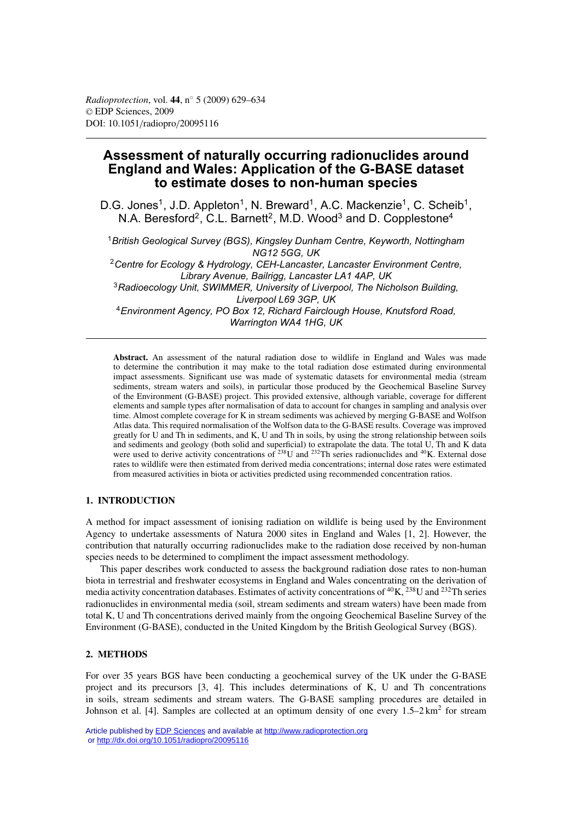# **Assessment of naturally occurring radionuclides around England and Wales: Application of the G-BASE dataset to estimate doses to non-human species**

D.G. Jones<sup>1</sup>, J.D. Appleton<sup>1</sup>, N. Breward<sup>1</sup>, A.C. Mackenzie<sup>1</sup>, C. Scheib<sup>1</sup>, N.A. Beresford<sup>2</sup>, C.L. Barnett<sup>2</sup>, M.D. Wood<sup>3</sup> and D. Copplestone<sup>4</sup>

<sup>1</sup>*British Geological Survey (BGS), Kingsley Dunham Centre, Keyworth, Nottingham NG12 5GG, UK* <sup>2</sup>*Centre for Ecology & Hydrology, CEH-Lancaster, Lancaster Environment Centre, Library Avenue, Bailrigg, Lancaster LA1 4AP, UK*

<sup>3</sup>*Radioecology Unit, SWIMMER, University of Liverpool, The Nicholson Building, Liverpool L69 3GP, UK* <sup>4</sup>*Environment Agency, PO Box 12, Richard Fairclough House, Knutsford Road,*

*Warrington WA4 1HG, UK*

**Abstract.** An assessment of the natural radiation dose to wildlife in England and Wales was made to determine the contribution it may make to the total radiation dose estimated during environmental impact assessments. Significant use was made of systematic datasets for environmental media (stream sediments, stream waters and soils), in particular those produced by the Geochemical Baseline Survey of the Environment (G-BASE) project. This provided extensive, although variable, coverage for different elements and sample types after normalisation of data to account for changes in sampling and analysis over time. Almost complete coverage for K in stream sediments was achieved by merging G-BASE and Wolfson Atlas data. This required normalisation of the Wolfson data to the G-BASE results. Coverage was improved greatly for U and Th in sediments, and K, U and Th in soils, by using the strong relationship between soils and sediments and geology (both solid and superficial) to extrapolate the data. The total U, Th and K data were used to derive activity concentrations of  $^{238}$ U and  $^{232}$ Th series radionuclides and  $^{40}$ K. External dose rates to wildlife were then estimated from derived media concentrations; internal dose rates were estimated from measured activities in biota or activities predicted using recommended concentration ratios.

# **1. INTRODUCTION**

A method for impact assessment of ionising radiation on wildlife is being used by the Environment Agency to undertake assessments of Natura 2000 sites in England and Wales [1, 2]. However, the contribution that naturally occurring radionuclides make to the radiation dose received by non-human species needs to be determined to compliment the impact assessment methodology.

This paper describes work conducted to assess the background radiation dose rates to non-human biota in terrestrial and freshwater ecosystems in England and Wales concentrating on the derivation of media activity concentration databases. Estimates of activity concentrations of  ${}^{40}K$ ,  ${}^{238}U$  and  ${}^{232}Th$  series radionuclides in environmental media (soil, stream sediments and stream waters) have been made from total K, U and Th concentrations derived mainly from the ongoing Geochemical Baseline Survey of the Environment (G-BASE), conducted in the United Kingdom by the British Geological Survey (BGS).

# **2. METHODS**

For over 35 years BGS have been conducting a geochemical survey of the UK under the G-BASE project and its precursors [3, 4]. This includes determinations of K, U and Th concentrations in soils, stream sediments and stream waters. The G-BASE sampling procedures are detailed in Johnson et al. [4]. Samples are collected at an optimum density of one every  $1.5-2 \text{ km}^2$  for stream

Article published by **EDP** Sciences and available at<http://www.radioprotection.org> or <http://dx.doi.org/10.1051/radiopro/20095116>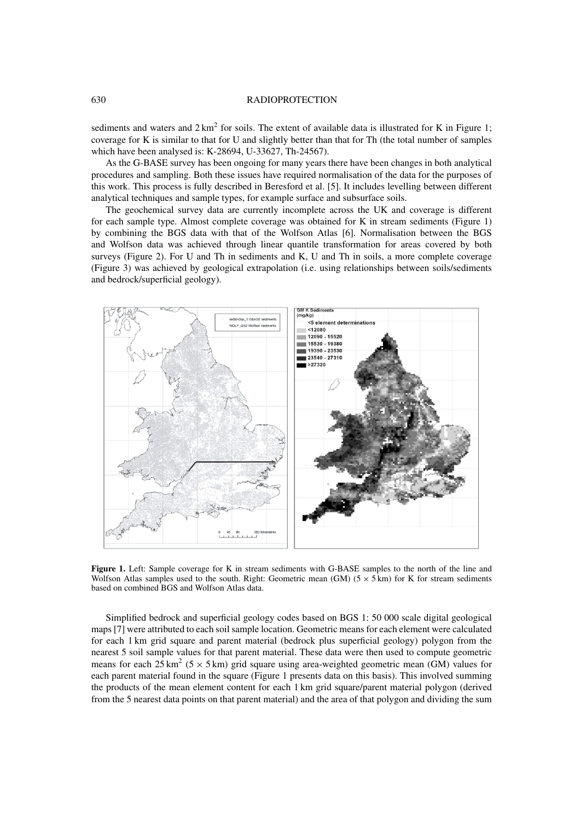#### 630 RADIOPROTECTION

sediments and waters and  $2 \text{ km}^2$  for soils. The extent of available data is illustrated for K in Figure 1; coverage for K is similar to that for U and slightly better than that for Th (the total number of samples which have been analysed is: K-28694, U-33627, Th-24567).

As the G-BASE survey has been ongoing for many years there have been changes in both analytical procedures and sampling. Both these issues have required normalisation of the data for the purposes of this work. This process is fully described in Beresford et al. [5]. It includes levelling between different analytical techniques and sample types, for example surface and subsurface soils.

The geochemical survey data are currently incomplete across the UK and coverage is different for each sample type. Almost complete coverage was obtained for K in stream sediments (Figure 1) by combining the BGS data with that of the Wolfson Atlas [6]. Normalisation between the BGS and Wolfson data was achieved through linear quantile transformation for areas covered by both surveys (Figure 2). For U and Th in sediments and K, U and Th in soils, a more complete coverage (Figure 3) was achieved by geological extrapolation (i.e. using relationships between soils/sediments and bedrock/superficial geology).



**Figure 1.** Left: Sample coverage for K in stream sediments with G-BASE samples to the north of the line and Wolfson Atlas samples used to the south. Right: Geometric mean (GM) ( $5 \times 5$  km) for K for stream sediments based on combined BGS and Wolfson Atlas data.

Simplified bedrock and superficial geology codes based on BGS 1: 50 000 scale digital geological maps [7] were attributed to each soil sample location. Geometric means for each element were calculated for each 1 km grid square and parent material (bedrock plus superficial geology) polygon from the nearest 5 soil sample values for that parent material. These data were then used to compute geometric means for each  $25 \text{ km}^2$  (5 × 5 km) grid square using area-weighted geometric mean (GM) values for each parent material found in the square (Figure 1 presents data on this basis). This involved summing the products of the mean element content for each 1 km grid square/parent material polygon (derived from the 5 nearest data points on that parent material) and the area of that polygon and dividing the sum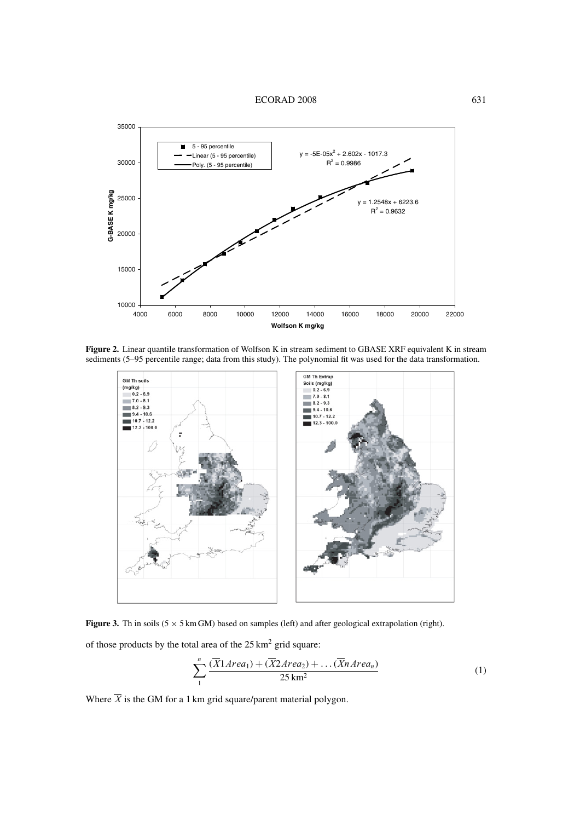

**Figure 2.** Linear quantile transformation of Wolfson K in stream sediment to GBASE XRF equivalent K in stream sediments (5–95 percentile range; data from this study). The polynomial fit was used for the data transformation.



**Figure 3.** Th in soils  $(5 \times 5 \text{ km GM})$  based on samples (left) and after geological extrapolation (right).

of those products by the total area of the  $25 \text{ km}^2$  grid square:

$$
\sum_{1}^{n} \frac{(\overline{X}1Area_1) + (\overline{X}2Area_2) + \dots (\overline{X}nArea_n)}{25 \text{ km}^2}
$$
 (1)

Where  $\overline{X}$  is the GM for a 1 km grid square/parent material polygon.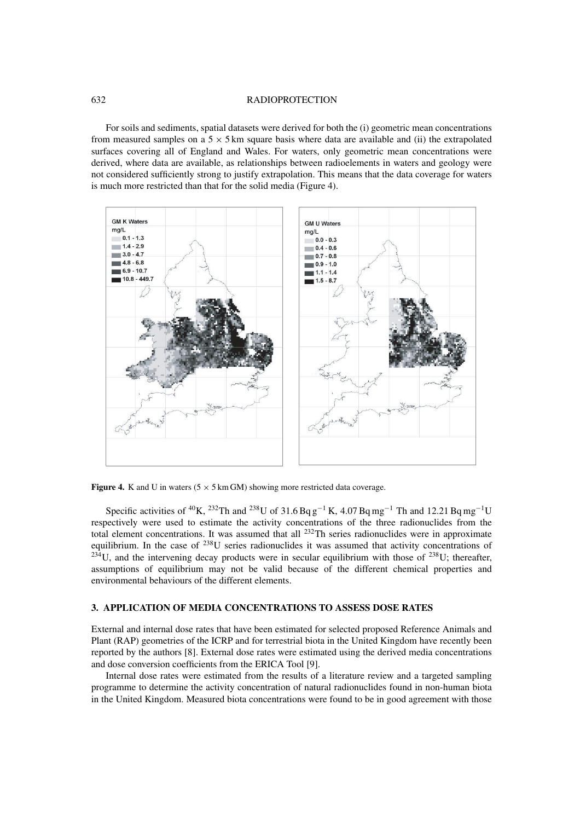#### 632 RADIOPROTECTION

For soils and sediments, spatial datasets were derived for both the (i) geometric mean concentrations from measured samples on a  $5 \times 5$  km square basis where data are available and (ii) the extrapolated surfaces covering all of England and Wales. For waters, only geometric mean concentrations were derived, where data are available, as relationships between radioelements in waters and geology were not considered sufficiently strong to justify extrapolation. This means that the data coverage for waters is much more restricted than that for the solid media (Figure 4).



**Figure 4.** K and U in waters  $(5 \times 5 \text{ km GM})$  showing more restricted data coverage.

Specific activities of <sup>40</sup>K, <sup>232</sup>Th and <sup>238</sup>U of 31.6 Bq g<sup>-1</sup> K, 4.07 Bq mg<sup>-1</sup> Th and 12.21 Bq mg<sup>-1</sup>U respectively were used to estimate the activity concentrations of the three radionuclides from the total element concentrations. It was assumed that all <sup>232</sup>Th series radionuclides were in approximate equilibrium. In the case of  $^{238}$ U series radionuclides it was assumed that activity concentrations of  $^{23\overline{4}}$ U, and the intervening decay products were in secular equilibrium with those of  $^{238}$ U; thereafter, assumptions of equilibrium may not be valid because of the different chemical properties and environmental behaviours of the different elements.

# **3. APPLICATION OF MEDIA CONCENTRATIONS TO ASSESS DOSE RATES**

External and internal dose rates that have been estimated for selected proposed Reference Animals and Plant (RAP) geometries of the ICRP and for terrestrial biota in the United Kingdom have recently been reported by the authors [8]. External dose rates were estimated using the derived media concentrations and dose conversion coefficients from the ERICA Tool [9].

Internal dose rates were estimated from the results of a literature review and a targeted sampling programme to determine the activity concentration of natural radionuclides found in non-human biota in the United Kingdom. Measured biota concentrations were found to be in good agreement with those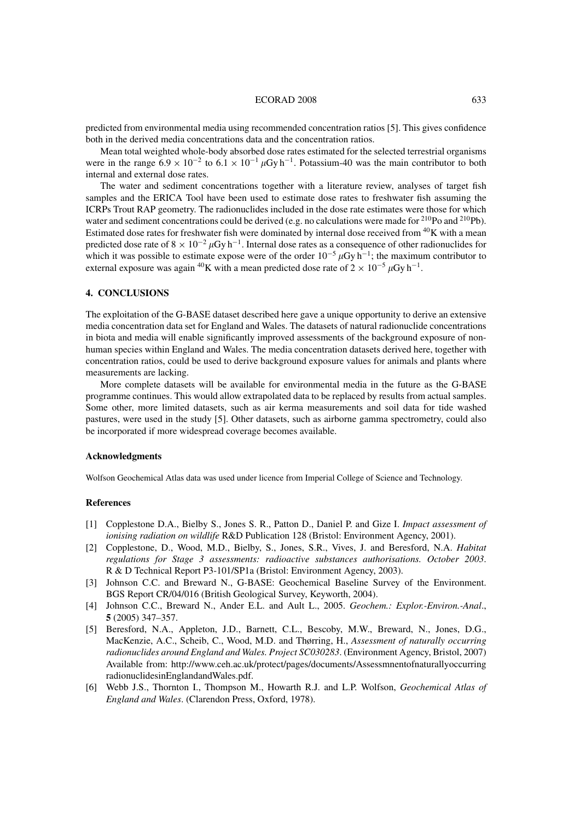#### ECORAD 2008 633

predicted from environmental media using recommended concentration ratios [5]. This gives confidence both in the derived media concentrations data and the concentration ratios.

Mean total weighted whole-body absorbed dose rates estimated for the selected terrestrial organisms were in the range  $6.9 \times 10^{-2}$  to  $6.1 \times 10^{-1} \mu Gy h^{-1}$ . Potassium-40 was the main contributor to both internal and external dose rates.

The water and sediment concentrations together with a literature review, analyses of target fish samples and the ERICA Tool have been used to estimate dose rates to freshwater fish assuming the ICRPs Trout RAP geometry. The radionuclides included in the dose rate estimates were those for which water and sediment concentrations could be derived (e.g. no calculations were made for <sup>210</sup>Po and <sup>210</sup>Pb). Estimated dose rates for freshwater fish were dominated by internal dose received from  ${}^{40}$ K with a mean predicted dose rate of  $8 \times 10^{-2} \mu Gy h^{-1}$ . Internal dose rates as a consequence of other radionuclides for which it was possible to estimate expose were of the order  $10^{-5} \mu Gy h^{-1}$ ; the maximum contributor to external exposure was again <sup>40</sup>K with a mean predicted dose rate of  $2 \times 10^{-5} \mu Gy h^{-1}$ .

### **4. CONCLUSIONS**

The exploitation of the G-BASE dataset described here gave a unique opportunity to derive an extensive media concentration data set for England and Wales. The datasets of natural radionuclide concentrations in biota and media will enable significantly improved assessments of the background exposure of nonhuman species within England and Wales. The media concentration datasets derived here, together with concentration ratios, could be used to derive background exposure values for animals and plants where measurements are lacking.

More complete datasets will be available for environmental media in the future as the G-BASE programme continues. This would allow extrapolated data to be replaced by results from actual samples. Some other, more limited datasets, such as air kerma measurements and soil data for tide washed pastures, were used in the study [5]. Other datasets, such as airborne gamma spectrometry, could also be incorporated if more widespread coverage becomes available.

#### **Acknowledgments**

Wolfson Geochemical Atlas data was used under licence from Imperial College of Science and Technology.

#### **References**

- [1] Copplestone D.A., Bielby S., Jones S. R., Patton D., Daniel P. and Gize I. *Impact assessment of ionising radiation on wildlife* R&D Publication 128 (Bristol: Environment Agency, 2001).
- [2] Copplestone, D., Wood, M.D., Bielby, S., Jones, S.R., Vives, J. and Beresford, N.A. *Habitat regulations for Stage 3 assessments: radioactive substances authorisations. October 2003*. R & D Technical Report P3-101/SP1a (Bristol: Environment Agency, 2003).
- [3] Johnson C.C. and Breward N., G-BASE: Geochemical Baseline Survey of the Environment. BGS Report CR/04/016 (British Geological Survey, Keyworth, 2004).
- [4] Johnson C.C., Breward N., Ander E.L. and Ault L., 2005. *Geochem.: Explor.-Environ.-Anal*., **5** (2005) 347–357.
- [5] Beresford, N.A., Appleton, J.D., Barnett, C.L., Bescoby, M.W., Breward, N., Jones, D.G., MacKenzie, A.C., Scheib, C., Wood, M.D. and Thørring, H., *Assessment of naturally occurring radionuclides around England and Wales. Project SC030283*. (Environment Agency, Bristol, 2007) Available from: http://www.ceh.ac.uk/protect/pages/documents/Assessmnentofnaturallyoccurring radionuclidesinEnglandandWales.pdf.
- [6] Webb J.S., Thornton I., Thompson M., Howarth R.J. and L.P. Wolfson, *Geochemical Atlas of England and Wales*. (Clarendon Press, Oxford, 1978).